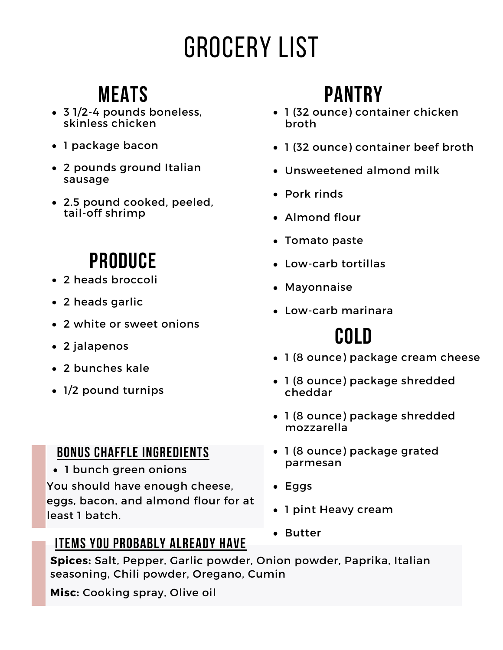# Grocery List

### **Meats**

- 3 1/2-4 pounds boneless, skinless chicken
- 1 package bacon
- 2 pounds ground Italian sausage
- 2.5 pound cooked, peeled, tail-off shrimp

### **Produce**

- 2 heads broccoli
- 2 heads garlic
- 2 white or sweet onions
- 2 jalapenos
- 2 bunches kale
- 1/2 pound turnips

### **Bonus chaffle ingredients**

1 bunch green onions You should have enough cheese, eggs, bacon, and almond flour for at least 1 batch.

### **Items you probably already have**

## **Pantry**

- 1 (32 ounce) container chicken broth
- 1 (32 ounce) container beef broth
- Unsweetened almond milk
- Pork rinds
- Almond flour
- Tomato paste
- Low-carb tortillas
- Mavonnaise
- Low-carb marinara

## **Cold**

- 1 (8 ounce) package cream cheese
- 1 (8 ounce) package shredded cheddar
- 1 (8 ounce) package shredded mozzarella
- 1 (8 ounce) package grated parmesan
- Eggs
- 1 pint Heavy cream
- Butter

**Spices:** Salt, Pepper, Garlic powder, Onion powder, Paprika, Italian seasoning, Chili powder, Oregano, Cumin

**Misc:** Cooking spray, Olive oil